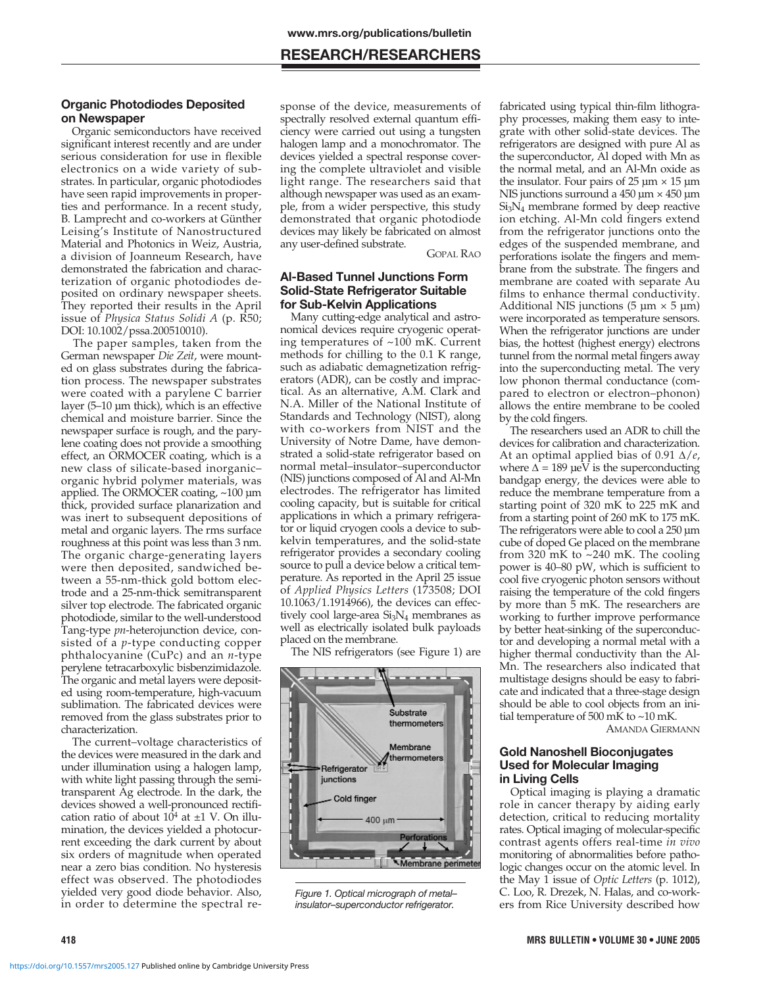# **RESEARCH/RESEARCHERS**

## **Organic Photodiodes Deposited on Newspaper**

Organic semiconductors have received significant interest recently and are under serious consideration for use in flexible electronics on a wide variety of substrates. In particular, organic photodiodes have seen rapid improvements in properties and performance. In a recent study, B. Lamprecht and co-workers at Günther Leising's Institute of Nanostructured Material and Photonics in Weiz, Austria, a division of Joanneum Research, have demonstrated the fabrication and characterization of organic photodiodes deposited on ordinary newspaper sheets. They reported their results in the April issue of *Physica Status Solidi A* (p. R50; DOI: 10.1002/pssa.200510010).

The paper samples, taken from the German newspaper *Die Zeit*, were mounted on glass substrates during the fabrication process. The newspaper substrates were coated with a parylene C barrier layer (5–10 µm thick), which is an effective chemical and moisture barrier. Since the newspaper surface is rough, and the parylene coating does not provide a smoothing effect, an ORMOCER coating, which is a new class of silicate-based inorganic– organic hybrid polymer materials, was applied. The ORMOCER coating, ~100 µm thick, provided surface planarization and was inert to subsequent depositions of metal and organic layers. The rms surface roughness at this point was less than 3 nm. The organic charge-generating layers were then deposited, sandwiched between a 55-nm-thick gold bottom electrode and a 25-nm-thick semitransparent silver top electrode. The fabricated organic photodiode, similar to the well-understood Tang-type *pn*-heterojunction device, consisted of a *p*-type conducting copper phthalocyanine (CuPc) and an *n*-type perylene tetracarboxylic bisbenzimidazole. The organic and metal layers were deposited using room-temperature, high-vacuum sublimation. The fabricated devices were removed from the glass substrates prior to characterization.

The current–voltage characteristics of the devices were measured in the dark and under illumination using a halogen lamp, with white light passing through the semitransparent Ag electrode. In the dark, the devices showed a well-pronounced rectification ratio of about  $10^4$  at  $\pm 1$  V. On illumination, the devices yielded a photocurrent exceeding the dark current by about six orders of magnitude when operated near a zero bias condition. No hysteresis effect was observed. The photodiodes yielded very good diode behavior. Also, in order to determine the spectral response of the device, measurements of spectrally resolved external quantum efficiency were carried out using a tungsten halogen lamp and a monochromator. The devices yielded a spectral response covering the complete ultraviolet and visible light range. The researchers said that although newspaper was used as an example, from a wider perspective, this study demonstrated that organic photodiode devices may likely be fabricated on almost any user-defined substrate. GOPAL RAO

#### **Al-Based Tunnel Junctions Form Solid-State Refrigerator Suitable for Sub-Kelvin Applications**

Many cutting-edge analytical and astronomical devices require cryogenic operating temperatures of ~100 mK. Current methods for chilling to the 0.1 K range, such as adiabatic demagnetization refrigerators (ADR), can be costly and impractical. As an alternative, A.M. Clark and N.A. Miller of the National Institute of Standards and Technology (NIST), along with co-workers from NIST and the University of Notre Dame, have demonstrated a solid-state refrigerator based on normal metal–insulator–superconductor (NIS) junctions composed of Al and Al-Mn electrodes. The refrigerator has limited cooling capacity, but is suitable for critical applications in which a primary refrigerator or liquid cryogen cools a device to subkelvin temperatures, and the solid-state refrigerator provides a secondary cooling source to pull a device below a critical temperature. As reported in the April 25 issue of *Applied Physics Letters* (173508; DOI 10.1063/1.1914966), the devices can effectively cool large-area  $Si<sub>3</sub>N<sub>4</sub>$  membranes as well as electrically isolated bulk payloads placed on the membrane.

The NIS refrigerators (see Figure 1) are



Figure 1. Optical micrograph of metal– insulator–superconductor refrigerator.

fabricated using typical thin-film lithography processes, making them easy to integrate with other solid-state devices. The refrigerators are designed with pure Al as the superconductor, Al doped with Mn as the normal metal, and an Al-Mn oxide as the insulator. Four pairs of  $25 \mu m \times 15 \mu m$ NIS junctions surround a  $450 \mu m \times 450 \mu m$  $Si<sub>3</sub>N<sub>4</sub>$  membrane formed by deep reactive ion etching. Al-Mn cold fingers extend from the refrigerator junctions onto the edges of the suspended membrane, and perforations isolate the fingers and membrane from the substrate. The fingers and membrane are coated with separate Au films to enhance thermal conductivity. Additional NIS junctions  $(5 \mu m \times 5 \mu m)$ were incorporated as temperature sensors. When the refrigerator junctions are under bias, the hottest (highest energy) electrons tunnel from the normal metal fingers away into the superconducting metal. The very low phonon thermal conductance (compared to electron or electron–phonon) allows the entire membrane to be cooled by the cold fingers.

The researchers used an ADR to chill the devices for calibration and characterization. At an optimal applied bias of 0.91 ∆/*e*, where  $\Delta = 189$  µeV is the superconducting bandgap energy, the devices were able to reduce the membrane temperature from a starting point of 320 mK to 225 mK and from a starting point of 260 mK to 175 mK. The refrigerators were able to cool a 250 µm cube of doped Ge placed on the membrane from 320 mK to  $\sim$ 240 mK. The cooling power is 40–80 pW, which is sufficient to cool five cryogenic photon sensors without raising the temperature of the cold fingers by more than 5 mK. The researchers are working to further improve performance by better heat-sinking of the superconductor and developing a normal metal with a higher thermal conductivity than the Al-Mn. The researchers also indicated that multistage designs should be easy to fabricate and indicated that a three-stage design should be able to cool objects from an initial temperature of 500 mK to ~10 mK.

AMANDA GIERMANN

# **Gold Nanoshell Bioconjugates Used for Molecular Imaging in Living Cells**

Optical imaging is playing a dramatic role in cancer therapy by aiding early detection, critical to reducing mortality rates. Optical imaging of molecular-specific contrast agents offers real-time *in vivo* monitoring of abnormalities before pathologic changes occur on the atomic level. In the May 1 issue of *Optic Letters* (p. 1012), C. Loo, R. Drezek, N. Halas, and co-workers from Rice University described how